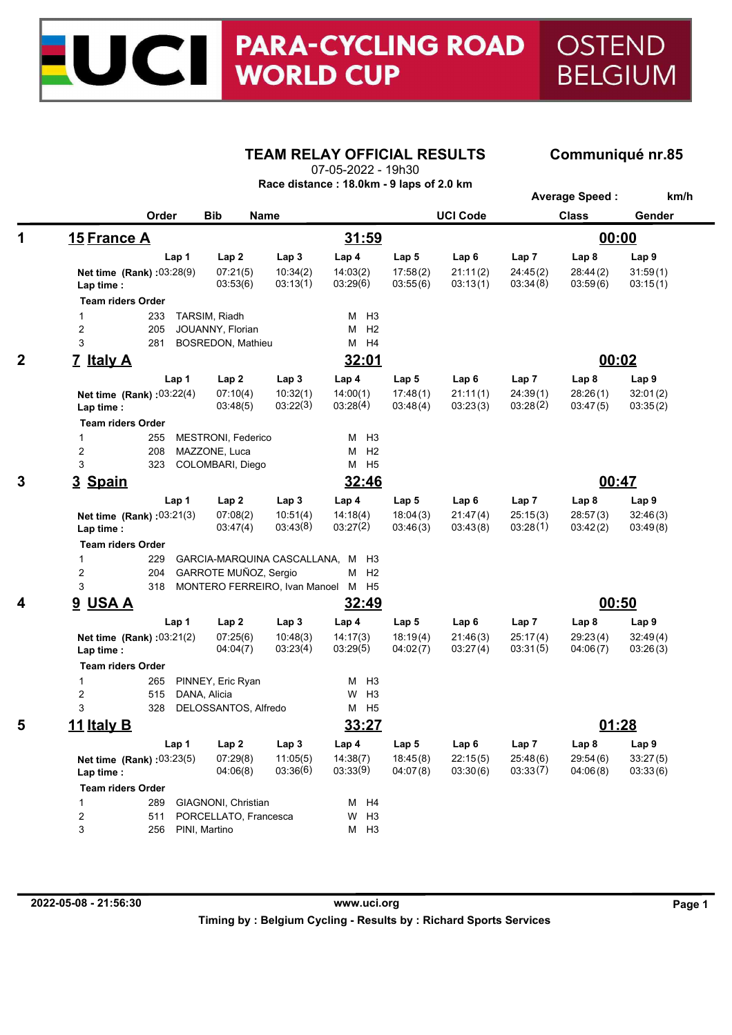## **PARA-CYCLING ROAD OSTEND**  $\blacksquare$ **WORLD CUP BELGIUM**

# **TEAM RELAY OFFICIAL RESULTS Communiqué nr.85**

07-05-2022 - 19h30

|  | Race distance : 18.0km - 9 laps of 2.0 km |  |  |
|--|-------------------------------------------|--|--|
|--|-------------------------------------------|--|--|

|                  |                                          |                                  |                      |                      |                      |                      |                      | <b>Average Speed:</b> | km/h                 |  |
|------------------|------------------------------------------|----------------------------------|----------------------|----------------------|----------------------|----------------------|----------------------|-----------------------|----------------------|--|
|                  | Order                                    | <b>Bib</b>                       | <b>Name</b>          |                      |                      | <b>UCI Code</b>      |                      | <b>Class</b>          | Gender               |  |
| 1<br>15 France A |                                          |                                  |                      | 31:59                |                      |                      |                      | 00:00                 |                      |  |
|                  | Lap 1                                    | Lap2                             | Lap <sub>3</sub>     | Lap 4                | Lap <sub>5</sub>     | Lap6                 | Lap7                 | Lap <sub>8</sub>      | Lap <sub>9</sub>     |  |
|                  | Net time (Rank) : 03:28(9)<br>Lap time : | 07:21(5)<br>03:53(6)             | 10:34(2)<br>03:13(1) | 14:03(2)<br>03:29(6) | 17:58(2)<br>03:55(6) | 21:11(2)<br>03:13(1) | 24:45(2)<br>03:34(8) | 28:44(2)<br>03:59(6)  | 31:59(1)<br>03:15(1) |  |
|                  | <b>Team riders Order</b>                 |                                  |                      |                      |                      |                      |                      |                       |                      |  |
|                  | 1<br>233                                 | TARSIM, Riadh                    |                      | M H3                 |                      |                      |                      |                       |                      |  |
|                  | $\overline{\mathbf{c}}$<br>205           | JOUANNY, Florian                 |                      | H2<br>м              |                      |                      |                      |                       |                      |  |
|                  | 3<br>281                                 | BOSREDON, Mathieu                |                      | M H4                 |                      |                      |                      |                       |                      |  |
| $\mathbf 2$      | 7 Italy A                                |                                  |                      | 32:01                |                      |                      |                      | 00:02                 |                      |  |
|                  | Lap 1                                    | Lap2                             | Lap <sub>3</sub>     | Lap 4                | Lap <sub>5</sub>     | Lap6                 | Lap7                 | Lap 8                 | Lap <sub>9</sub>     |  |
|                  | Net time (Rank) : 03:22(4)<br>Lap time : | 07:10(4)<br>03:48(5)             | 10:32(1)<br>03:22(3) | 14:00(1)<br>03:28(4) | 17:48(1)<br>03:48(4) | 21:11(1)<br>03:23(3) | 24:39(1)<br>03:28(2) | 28:26(1)<br>03:47(5)  | 32:01(2)<br>03:35(2) |  |
|                  | <b>Team riders Order</b>                 |                                  |                      |                      |                      |                      |                      |                       |                      |  |
|                  | $\mathbf{1}$<br>255                      | MESTRONI, Federico               |                      | $M$ H <sub>3</sub>   |                      |                      |                      |                       |                      |  |
|                  | $\overline{c}$<br>208                    | MAZZONE, Luca                    |                      | $M$ H <sub>2</sub>   |                      |                      |                      |                       |                      |  |
|                  | 3<br>323                                 | COLOMBARI, Diego                 |                      | M H5                 |                      |                      |                      |                       |                      |  |
| 3                | 3 Spain                                  |                                  | 32:46                |                      |                      |                      | 00:47                |                       |                      |  |
|                  | Lap 1                                    | Lap <sub>2</sub>                 | Lap <sub>3</sub>     | Lap <sub>4</sub>     | Lap <sub>5</sub>     | Lap6                 | Lap 7                | Lap 8                 | Lap <sub>9</sub>     |  |
|                  | Net time (Rank) : 03:21(3)<br>Lap time : | 07:08(2)<br>03:47(4)             | 10:51(4)<br>03:43(8) | 14:18(4)<br>03:27(2) | 18:04(3)<br>03:46(3) | 21:47(4)<br>03:43(8) | 25:15(3)<br>03:28(1) | 28:57(3)<br>03:42(2)  | 32:46(3)<br>03:49(8) |  |
|                  | <b>Team riders Order</b>                 |                                  |                      |                      |                      |                      |                      |                       |                      |  |
|                  | $\mathbf{1}$<br>229                      | GARCIA-MARQUINA CASCALLANA, M H3 |                      |                      |                      |                      |                      |                       |                      |  |
|                  | $\overline{c}$<br>204                    | GARROTE MUÑOZ, Sergio            |                      | M H2                 |                      |                      |                      |                       |                      |  |
|                  | 3<br>318                                 | MONTERO FERREIRO, Ivan Manoel    |                      | M H5                 |                      |                      |                      |                       |                      |  |
| 4                | <b>9 USA A</b>                           |                                  |                      | 32:49                |                      |                      |                      | 00:50                 |                      |  |
|                  | Lap 1                                    | Lap <sub>2</sub>                 | Lap <sub>3</sub>     | Lap 4                | Lap <sub>5</sub>     | Lap6                 | Lap7                 | Lap 8                 | Lap <sub>9</sub>     |  |
|                  | Net time (Rank) : 03:21(2)<br>Lap time : | 07:25(6)<br>04:04(7)             | 10:48(3)<br>03:23(4) | 14:17(3)<br>03:29(5) | 18:19(4)<br>04:02(7) | 21:46(3)<br>03:27(4) | 25:17(4)<br>03:31(5) | 29:23(4)<br>04:06(7)  | 32:49(4)<br>03:26(3) |  |
|                  | <b>Team riders Order</b>                 |                                  |                      |                      |                      |                      |                      |                       |                      |  |
|                  | $\mathbf{1}$<br>265                      | PINNEY, Eric Ryan                |                      | H <sub>3</sub><br>м  |                      |                      |                      |                       |                      |  |
|                  | $\boldsymbol{2}$<br>515                  | DANA, Alicia                     |                      | H <sub>3</sub><br>W  |                      |                      |                      |                       |                      |  |
|                  | 3<br>328                                 | DELOSSANTOS, Alfredo             |                      | M H <sub>5</sub>     |                      |                      |                      |                       |                      |  |
| 5                | <u>11 Italy B</u>                        |                                  |                      | <u>33:27</u>         |                      |                      |                      | 01:28                 |                      |  |
|                  | Lap 1                                    | Lap 4                            | Lap 5                | Lap 6                | Lap <sub>7</sub>     | Lap 8                | Lap 9                |                       |                      |  |
|                  | Net time (Rank) : 03:23(5)<br>Lap time : | 07:29(8)<br>04:06(8)             | 11:05(5)<br>03:36(6) | 14:38(7)<br>03:33(9) | 18:45(8)<br>04:07(8) | 22:15(5)<br>03:30(6) | 25:48(6)<br>03:33(7) | 29:54(6)<br>04:06(8)  | 33:27(5)<br>03:33(6) |  |
|                  | <b>Team riders Order</b>                 |                                  |                      |                      |                      |                      |                      |                       |                      |  |
|                  | 1<br>289                                 | GIAGNONI, Christian              |                      | M H4                 |                      |                      |                      |                       |                      |  |
|                  | 2<br>511                                 | PORCELLATO, Francesca            |                      | W<br>H3              |                      |                      |                      |                       |                      |  |
|                  | 3<br>256                                 | PINI, Martino                    |                      | M H3                 |                      |                      |                      |                       |                      |  |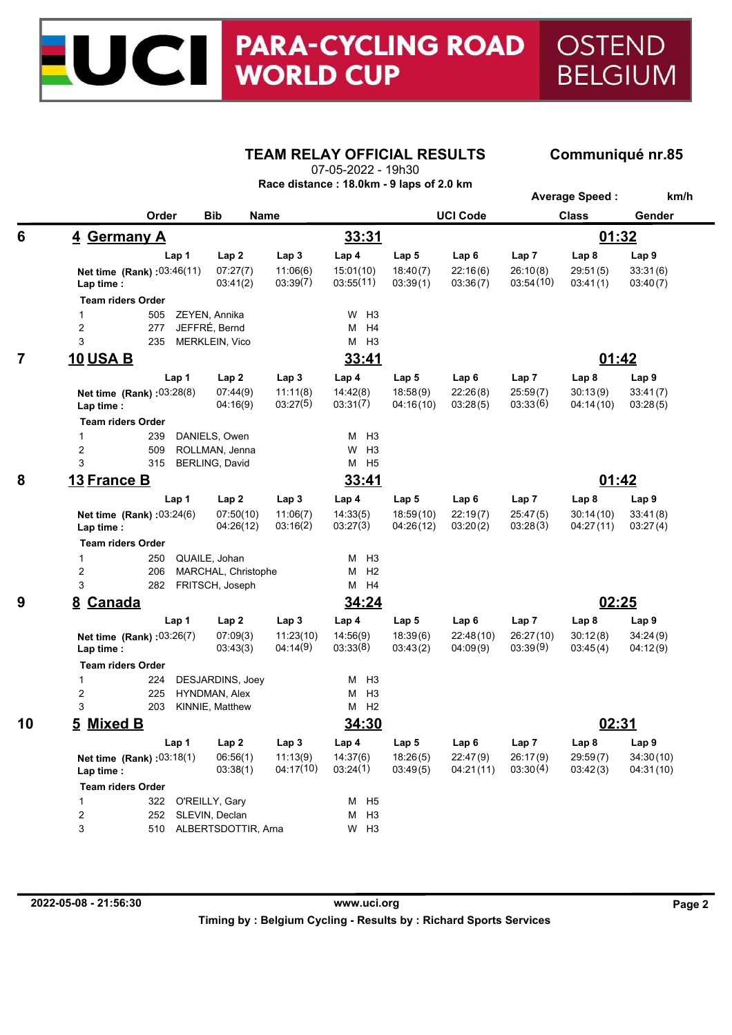## **PARA-CYCLING ROAD** OSTEND  $\blacksquare$ **WORLD CUP BELGIUM**

## **TEAM RELAY OFFICIAL RESULTS Communiqué nr.85**

**Average Speed : km/h**

07-05-2022 - 19h30

| Race distance: 18.0km - 9 laps of 2.0 km |  |  |  |  |
|------------------------------------------|--|--|--|--|
|                                          |  |  |  |  |

|                | Order                                            | <b>Bib</b>             | Name                  |                        |                        | <b>UCI Code</b>       |                       | <b>Class</b>           | Gender                 |  |
|----------------|--------------------------------------------------|------------------------|-----------------------|------------------------|------------------------|-----------------------|-----------------------|------------------------|------------------------|--|
| 6              | 4 Germany A                                      |                        | 33:31                 |                        |                        |                       | 01:32                 |                        |                        |  |
|                | Lap 1                                            | Lap <sub>2</sub>       | Lap <sub>3</sub>      | Lap 4                  | Lap <sub>5</sub>       | Lap <sub>6</sub>      | Lap 7                 | Lap <sub>8</sub>       | Lap <sub>9</sub>       |  |
|                | Net time (Rank): 03:46(11)<br>Lap time :         | 07:27(7)<br>03:41(2)   | 11:06(6)<br>03:39(7)  | 15:01(10)<br>03:55(11) | 18:40(7)<br>03:39(1)   | 22:16(6)<br>03:36(7)  | 26:10(8)<br>03:54(10) | 29:51(5)<br>03.41(1)   | 33:31(6)<br>03:40(7)   |  |
|                | <b>Team riders Order</b>                         |                        |                       |                        |                        |                       |                       |                        |                        |  |
|                | $\mathbf{1}$<br>505                              | ZEYEN, Annika          |                       | $W$ H <sub>3</sub>     |                        |                       |                       |                        |                        |  |
|                | $\overline{2}$<br>277                            | JEFFRÉ, Bernd          |                       | м<br>H <sub>4</sub>    |                        |                       |                       |                        |                        |  |
|                | 3<br>235                                         | MERKLEIN, Vico         |                       | М<br>H3                |                        |                       |                       |                        |                        |  |
| $\overline{7}$ | <b>10 USA B</b>                                  |                        |                       | 33:41                  |                        |                       | 01:42                 |                        |                        |  |
|                | Lap 1                                            | Lap 2                  | Lap <sub>3</sub>      | Lap 4                  | Lap <sub>5</sub>       | Lap 6                 | Lap 7                 | Lap 8                  | Lap <sub>9</sub>       |  |
|                | Net time (Rank): 03:28(8)<br>Lap time :          | 07:44(9)<br>04:16(9)   | 11:11(8)<br>03:27(5)  | 14:42(8)<br>03:31(7)   | 18:58(9)<br>04:16(10)  | 22:26(8)<br>03:28(5)  | 25:59(7)<br>03:33(6)  | 30:13(9)<br>04:14(10)  | 33:41(7)<br>03:28(5)   |  |
|                | <b>Team riders Order</b>                         |                        |                       |                        |                        |                       |                       |                        |                        |  |
|                | $\mathbf{1}$<br>239                              | DANIELS, Owen          |                       | H <sub>3</sub><br>м    |                        |                       |                       |                        |                        |  |
|                | 2<br>509                                         | ROLLMAN, Jenna         |                       | H <sub>3</sub><br>W    |                        |                       |                       |                        |                        |  |
|                | 3<br>315                                         | <b>BERLING, David</b>  |                       | M H <sub>5</sub>       |                        |                       |                       |                        |                        |  |
| 8              | 13 France B                                      | 33:41                  |                       |                        | 01:42                  |                       |                       |                        |                        |  |
|                | Lap 1                                            | Lap 2                  | Lap <sub>3</sub>      | Lap 4                  | Lap <sub>5</sub>       | Lap <sub>6</sub>      | Lap 7                 | Lap <sub>8</sub>       | Lap 9                  |  |
|                | Net time (Rank): 03:24(6)<br>Lap time :          | 07:50(10)<br>04:26(12) | 11:06(7)<br>03:16(2)  | 14:33(5)<br>03:27(3)   | 18:59(10)<br>04:26(12) | 22:19(7)<br>03:20(2)  | 25:47(5)<br>03:28(3)  | 30:14(10)<br>04:27(11) | 33:41(8)<br>03:27(4)   |  |
|                | <b>Team riders Order</b>                         |                        |                       |                        |                        |                       |                       |                        |                        |  |
|                | $\mathbf{1}$<br>250                              | QUAILE, Johan          |                       | H <sub>3</sub><br>м    |                        |                       |                       |                        |                        |  |
|                | $\overline{\mathbf{c}}$<br>206                   | MARCHAL, Christophe    |                       | H <sub>2</sub><br>м    |                        |                       |                       |                        |                        |  |
|                | 3<br>282                                         | FRITSCH, Joseph        |                       | M H4                   |                        |                       |                       |                        |                        |  |
| 9              |                                                  | 8 Canada               |                       |                        | 34:24                  |                       |                       | 02:25                  |                        |  |
|                | Lap 1                                            | Lap2                   | Lap <sub>3</sub>      | Lap <sub>4</sub>       | Lap <sub>5</sub>       | Lap6                  | Lap <sub>7</sub>      | Lap <sub>8</sub>       | Lap <sub>9</sub>       |  |
|                | Net time (Rank): 03:26(7)<br>Lap time :          | 07:09(3)<br>03:43(3)   | 11:23(10)<br>04:14(9) | 14:56(9)<br>03:33(8)   | 18:39(6)<br>03:43(2)   | 22:48(10)<br>04:09(9) | 26:27(10)<br>03:39(9) | 30:12(8)<br>03:45(4)   | 34:24(9)<br>04:12(9)   |  |
|                | <b>Team riders Order</b>                         |                        |                       |                        |                        |                       |                       |                        |                        |  |
|                | $\mathbf{1}$<br>224                              | DESJARDINS, Joey       |                       | H <sub>3</sub><br>м    |                        |                       |                       |                        |                        |  |
|                | $\overline{c}$<br>225                            | HYNDMAN, Alex          |                       | М<br>H <sub>3</sub>    |                        |                       |                       |                        |                        |  |
|                | 3<br>203                                         | KINNIE, Matthew        |                       | $M$ H <sub>2</sub>     |                        |                       |                       |                        |                        |  |
| 10             | 5 Mixed B                                        |                        |                       | 34:30                  |                        |                       |                       | 02:31                  |                        |  |
|                | Lap 1<br>Lap <sub>2</sub>                        |                        | Lap <sub>3</sub>      | Lap 4                  | Lap 5                  | Lap <sub>6</sub>      | Lap 7                 | Lap <sub>8</sub>       | Lap <sub>9</sub>       |  |
|                | <b>Net time</b> (Rank): $03.18(1)$<br>Lap time : | 06:56(1)<br>03:38(1)   | 11:13(9)<br>04:17(10) | 14:37(6)<br>03:24(1)   | 18:26(5)<br>03:49(5)   | 22:47(9)<br>04:21(11) | 26:17(9)<br>03:30(4)  | 29:59(7)<br>03:42(3)   | 34:30(10)<br>04:31(10) |  |
|                | <b>Team riders Order</b>                         |                        |                       |                        |                        |                       |                       |                        |                        |  |
|                | $\mathbf{1}$<br>322                              | O'REILLY, Gary         |                       | М<br>H <sub>5</sub>    |                        |                       |                       |                        |                        |  |
|                | $\overline{c}$<br>252                            | SLEVIN, Declan         |                       | H <sub>3</sub><br>М    |                        |                       |                       |                        |                        |  |
|                | 3<br>510                                         | ALBERTSDOTTIR, Arna    |                       | $W$ H <sub>3</sub>     |                        |                       |                       |                        |                        |  |